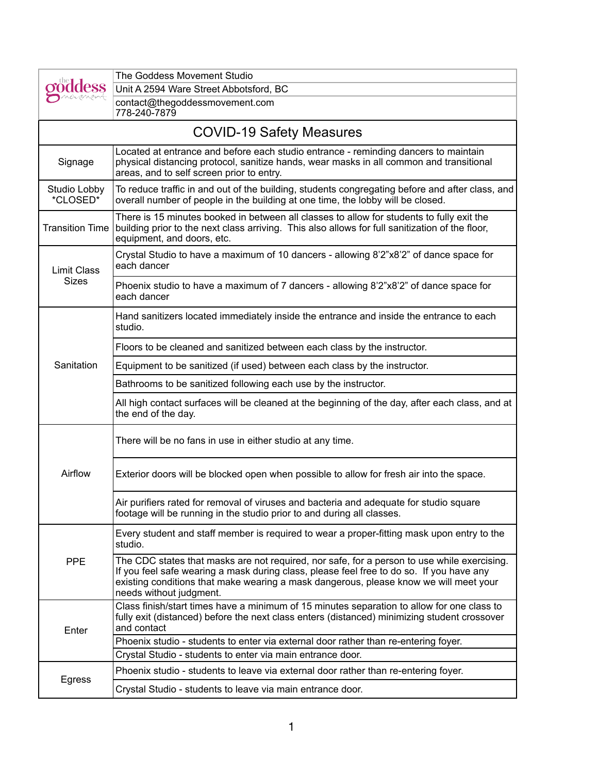|                                 | The Goddess Movement Studio                                                                                                                                                                                                                                                                                 |  |
|---------------------------------|-------------------------------------------------------------------------------------------------------------------------------------------------------------------------------------------------------------------------------------------------------------------------------------------------------------|--|
|                                 | Unit A 2594 Ware Street Abbotsford, BC                                                                                                                                                                                                                                                                      |  |
|                                 | contact@thegoddessmovement.com<br>778-240-7879                                                                                                                                                                                                                                                              |  |
| <b>COVID-19 Safety Measures</b> |                                                                                                                                                                                                                                                                                                             |  |
| Signage                         | Located at entrance and before each studio entrance - reminding dancers to maintain<br>physical distancing protocol, sanitize hands, wear masks in all common and transitional<br>areas, and to self screen prior to entry.                                                                                 |  |
| Studio Lobby<br>*CLOSED*        | To reduce traffic in and out of the building, students congregating before and after class, and<br>overall number of people in the building at one time, the lobby will be closed.                                                                                                                          |  |
| <b>Transition Time</b>          | There is 15 minutes booked in between all classes to allow for students to fully exit the<br>building prior to the next class arriving. This also allows for full sanitization of the floor,<br>equipment, and doors, etc.                                                                                  |  |
| <b>Limit Class</b><br>Sizes     | Crystal Studio to have a maximum of 10 dancers - allowing 8'2"x8'2" of dance space for<br>each dancer                                                                                                                                                                                                       |  |
|                                 | Phoenix studio to have a maximum of 7 dancers - allowing 8'2"x8'2" of dance space for<br>each dancer                                                                                                                                                                                                        |  |
|                                 | Hand sanitizers located immediately inside the entrance and inside the entrance to each<br>studio.                                                                                                                                                                                                          |  |
|                                 | Floors to be cleaned and sanitized between each class by the instructor.                                                                                                                                                                                                                                    |  |
| Sanitation                      | Equipment to be sanitized (if used) between each class by the instructor.                                                                                                                                                                                                                                   |  |
|                                 | Bathrooms to be sanitized following each use by the instructor.                                                                                                                                                                                                                                             |  |
|                                 | All high contact surfaces will be cleaned at the beginning of the day, after each class, and at<br>the end of the day.                                                                                                                                                                                      |  |
| Airflow                         | There will be no fans in use in either studio at any time.                                                                                                                                                                                                                                                  |  |
|                                 | Exterior doors will be blocked open when possible to allow for fresh air into the space.                                                                                                                                                                                                                    |  |
|                                 | Air purifiers rated for removal of viruses and bacteria and adequate for studio square<br>footage will be running in the studio prior to and during all classes.                                                                                                                                            |  |
| <b>PPE</b>                      | Every student and staff member is required to wear a proper-fitting mask upon entry to the<br>studio.                                                                                                                                                                                                       |  |
|                                 | The CDC states that masks are not required, nor safe, for a person to use while exercising.<br>If you feel safe wearing a mask during class, please feel free to do so. If you have any<br>existing conditions that make wearing a mask dangerous, please know we will meet your<br>needs without judgment. |  |
| Enter                           | Class finish/start times have a minimum of 15 minutes separation to allow for one class to<br>fully exit (distanced) before the next class enters (distanced) minimizing student crossover<br>and contact                                                                                                   |  |
|                                 | Phoenix studio - students to enter via external door rather than re-entering foyer.                                                                                                                                                                                                                         |  |
|                                 | Crystal Studio - students to enter via main entrance door.                                                                                                                                                                                                                                                  |  |
| Egress                          | Phoenix studio - students to leave via external door rather than re-entering foyer.                                                                                                                                                                                                                         |  |
|                                 | Crystal Studio - students to leave via main entrance door.                                                                                                                                                                                                                                                  |  |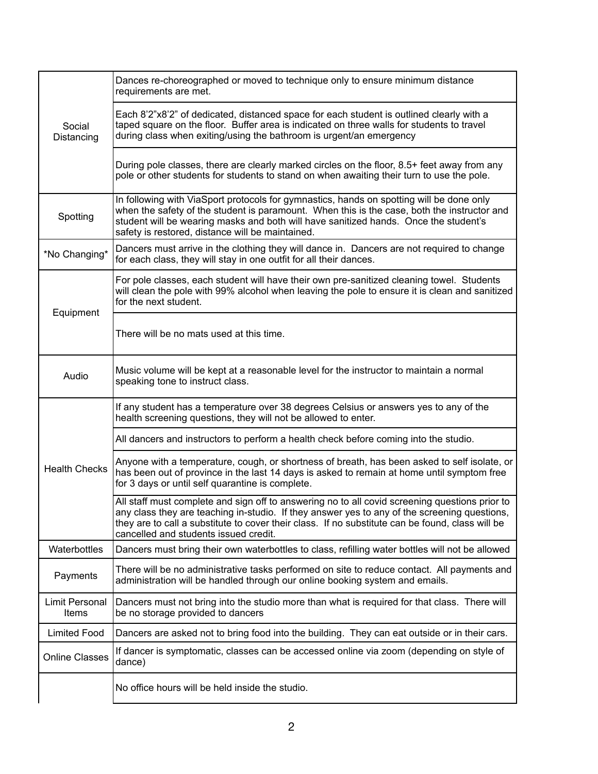| Social<br>Distancing           | Dances re-choreographed or moved to technique only to ensure minimum distance<br>requirements are met.                                                                                                                                                                                                                                      |
|--------------------------------|---------------------------------------------------------------------------------------------------------------------------------------------------------------------------------------------------------------------------------------------------------------------------------------------------------------------------------------------|
|                                | Each 8'2"x8'2" of dedicated, distanced space for each student is outlined clearly with a<br>taped square on the floor. Buffer area is indicated on three walls for students to travel<br>during class when exiting/using the bathroom is urgent/an emergency                                                                                |
|                                | During pole classes, there are clearly marked circles on the floor, 8.5+ feet away from any<br>pole or other students for students to stand on when awaiting their turn to use the pole.                                                                                                                                                    |
| Spotting                       | In following with ViaSport protocols for gymnastics, hands on spotting will be done only<br>when the safety of the student is paramount. When this is the case, both the instructor and<br>student will be wearing masks and both will have sanitized hands. Once the student's<br>safety is restored, distance will be maintained.         |
| *No Changing*                  | Dancers must arrive in the clothing they will dance in. Dancers are not required to change<br>for each class, they will stay in one outfit for all their dances.                                                                                                                                                                            |
| Equipment                      | For pole classes, each student will have their own pre-sanitized cleaning towel. Students<br>will clean the pole with 99% alcohol when leaving the pole to ensure it is clean and sanitized<br>for the next student.                                                                                                                        |
|                                | There will be no mats used at this time.                                                                                                                                                                                                                                                                                                    |
| Audio                          | Music volume will be kept at a reasonable level for the instructor to maintain a normal<br>speaking tone to instruct class.                                                                                                                                                                                                                 |
|                                | If any student has a temperature over 38 degrees Celsius or answers yes to any of the<br>health screening questions, they will not be allowed to enter.                                                                                                                                                                                     |
|                                | All dancers and instructors to perform a health check before coming into the studio.                                                                                                                                                                                                                                                        |
| <b>Health Checks</b>           | Anyone with a temperature, cough, or shortness of breath, has been asked to self isolate, or<br>has been out of province in the last 14 days is asked to remain at home until symptom free<br>for 3 days or until self quarantine is complete.                                                                                              |
|                                | All staff must complete and sign off to answering no to all covid screening questions prior to<br>any class they are teaching in-studio. If they answer yes to any of the screening questions,<br>they are to call a substitute to cover their class. If no substitute can be found, class will be<br>cancelled and students issued credit. |
| Waterbottles                   | Dancers must bring their own waterbottles to class, refilling water bottles will not be allowed                                                                                                                                                                                                                                             |
| Payments                       | There will be no administrative tasks performed on site to reduce contact. All payments and<br>administration will be handled through our online booking system and emails.                                                                                                                                                                 |
| Limit Personal<br><b>Items</b> | Dancers must not bring into the studio more than what is required for that class. There will<br>be no storage provided to dancers                                                                                                                                                                                                           |
| <b>Limited Food</b>            | Dancers are asked not to bring food into the building. They can eat outside or in their cars.                                                                                                                                                                                                                                               |
| <b>Online Classes</b>          | If dancer is symptomatic, classes can be accessed online via zoom (depending on style of<br>dance)                                                                                                                                                                                                                                          |
|                                | No office hours will be held inside the studio.                                                                                                                                                                                                                                                                                             |